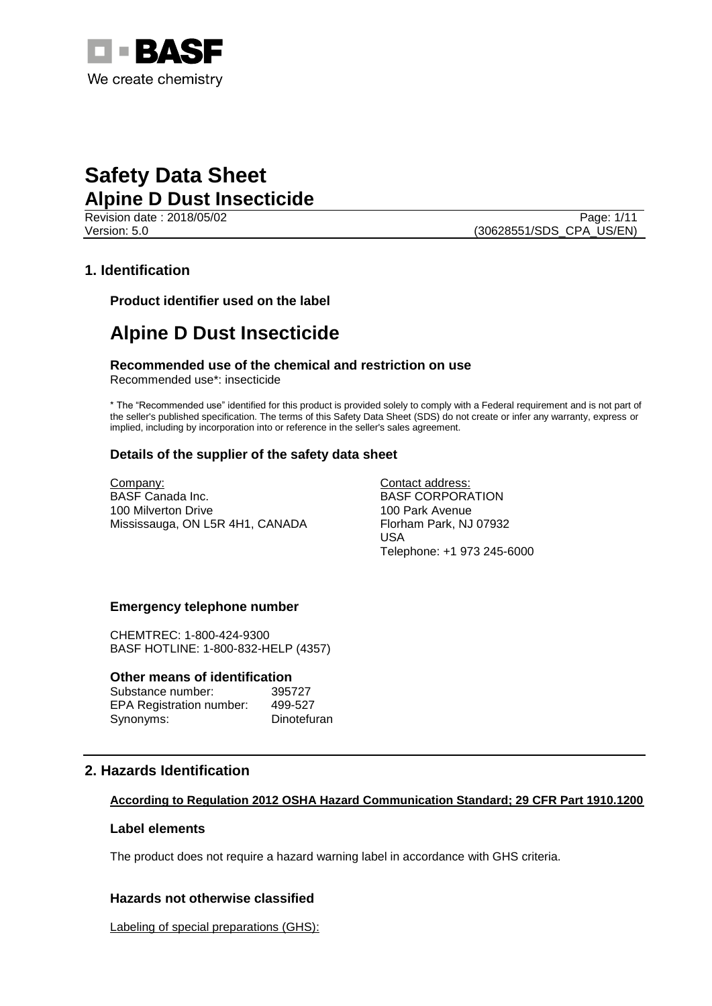

Revision date : 2018/05/02 Page: 1/11 Version: 5.0 (30628551/SDS\_CPA\_US/EN)

# **1. Identification**

**Product identifier used on the label**

# **Alpine D Dust Insecticide**

**Recommended use of the chemical and restriction on use** Recommended use\*: insecticide

\* The "Recommended use" identified for this product is provided solely to comply with a Federal requirement and is not part of the seller's published specification. The terms of this Safety Data Sheet (SDS) do not create or infer any warranty, express or implied, including by incorporation into or reference in the seller's sales agreement.

## **Details of the supplier of the safety data sheet**

Company: BASF Canada Inc. 100 Milverton Drive Mississauga, ON L5R 4H1, CANADA Contact address: BASF CORPORATION 100 Park Avenue Florham Park, NJ 07932 USA Telephone: +1 973 245-6000

## **Emergency telephone number**

CHEMTREC: 1-800-424-9300 BASF HOTLINE: 1-800-832-HELP (4357)

## **Other means of identification**

Substance number: 395727 EPA Registration number: 499-527 Synonyms: Dinotefuran

## **2. Hazards Identification**

## **According to Regulation 2012 OSHA Hazard Communication Standard; 29 CFR Part 1910.1200**

## **Label elements**

The product does not require a hazard warning label in accordance with GHS criteria.

## **Hazards not otherwise classified**

Labeling of special preparations (GHS):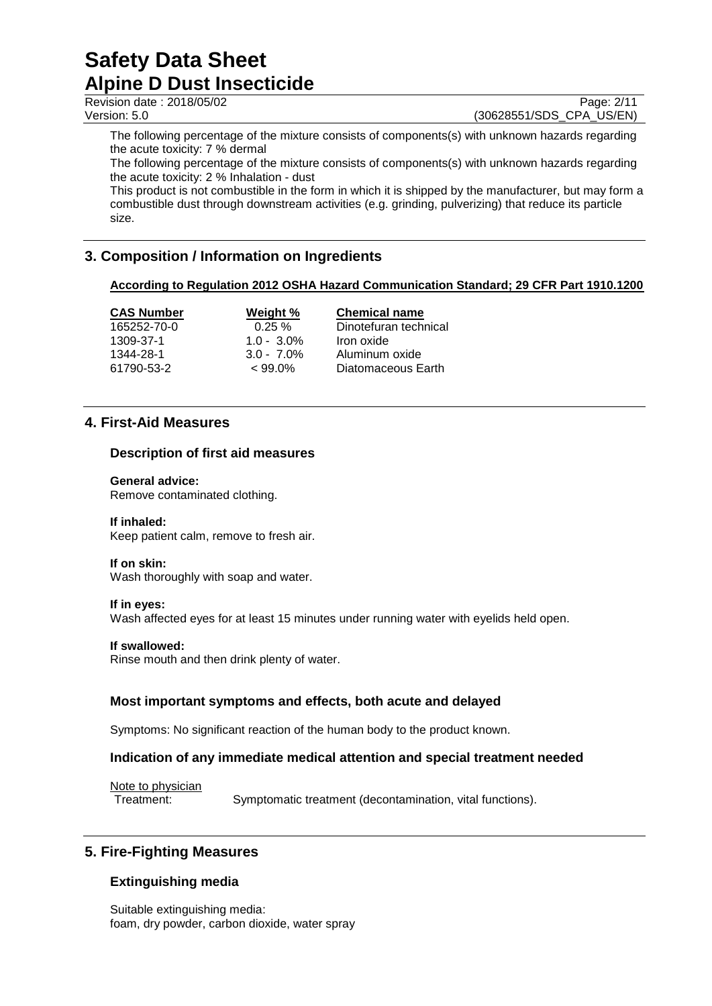Revision date : 2018/05/02 Page: 2/11

Version: 5.0 (30628551/SDS\_CPA\_US/EN)

The following percentage of the mixture consists of components(s) with unknown hazards regarding the acute toxicity: 7 % dermal

The following percentage of the mixture consists of components(s) with unknown hazards regarding the acute toxicity: 2 % Inhalation - dust

This product is not combustible in the form in which it is shipped by the manufacturer, but may form a combustible dust through downstream activities (e.g. grinding, pulverizing) that reduce its particle size.

# **3. Composition / Information on Ingredients**

# **According to Regulation 2012 OSHA Hazard Communication Standard; 29 CFR Part 1910.1200**

| <b>CAS Number</b> | Weight %      | <b>Chemical name</b>  |
|-------------------|---------------|-----------------------|
| 165252-70-0       | $0.25 \%$     | Dinotefuran technical |
| 1309-37-1         | $1.0 - 3.0\%$ | Iron oxide            |
| 1344-28-1         | $3.0 - 7.0\%$ | Aluminum oxide        |
| 61790-53-2        | $< 99.0\%$    | Diatomaceous Earth    |

# **4. First-Aid Measures**

## **Description of first aid measures**

## **General advice:**

Remove contaminated clothing.

## **If inhaled:**

Keep patient calm, remove to fresh air.

## **If on skin:**

Wash thoroughly with soap and water.

## **If in eyes:**

Wash affected eyes for at least 15 minutes under running water with eyelids held open.

## **If swallowed:**

Rinse mouth and then drink plenty of water.

# **Most important symptoms and effects, both acute and delayed**

Symptoms: No significant reaction of the human body to the product known.

## **Indication of any immediate medical attention and special treatment needed**

Note to physician

Treatment: Symptomatic treatment (decontamination, vital functions).

# **5. Fire-Fighting Measures**

# **Extinguishing media**

Suitable extinguishing media: foam, dry powder, carbon dioxide, water spray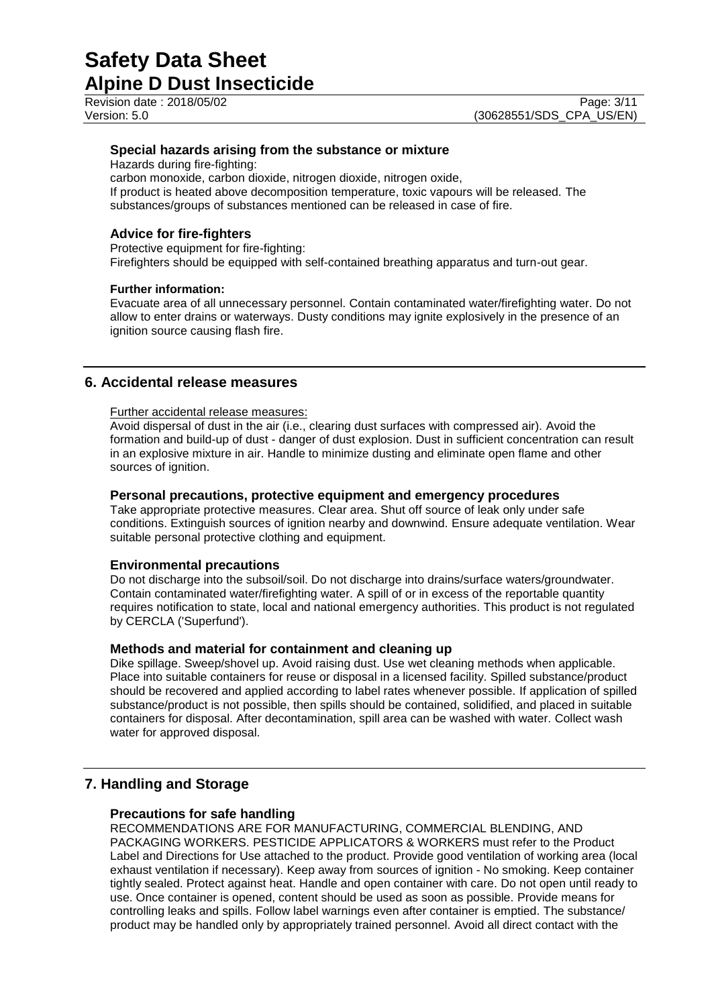Revision date : 2018/05/02 Page: 3/11

## **Special hazards arising from the substance or mixture**

Hazards during fire-fighting:

carbon monoxide, carbon dioxide, nitrogen dioxide, nitrogen oxide, If product is heated above decomposition temperature, toxic vapours will be released. The substances/groups of substances mentioned can be released in case of fire.

## **Advice for fire-fighters**

Protective equipment for fire-fighting: Firefighters should be equipped with self-contained breathing apparatus and turn-out gear.

## **Further information:**

Evacuate area of all unnecessary personnel. Contain contaminated water/firefighting water. Do not allow to enter drains or waterways. Dusty conditions may ignite explosively in the presence of an ignition source causing flash fire.

# **6. Accidental release measures**

## Further accidental release measures:

Avoid dispersal of dust in the air (i.e., clearing dust surfaces with compressed air). Avoid the formation and build-up of dust - danger of dust explosion. Dust in sufficient concentration can result in an explosive mixture in air. Handle to minimize dusting and eliminate open flame and other sources of ignition.

## **Personal precautions, protective equipment and emergency procedures**

Take appropriate protective measures. Clear area. Shut off source of leak only under safe conditions. Extinguish sources of ignition nearby and downwind. Ensure adequate ventilation. Wear suitable personal protective clothing and equipment.

## **Environmental precautions**

Do not discharge into the subsoil/soil. Do not discharge into drains/surface waters/groundwater. Contain contaminated water/firefighting water. A spill of or in excess of the reportable quantity requires notification to state, local and national emergency authorities. This product is not regulated by CERCLA ('Superfund').

## **Methods and material for containment and cleaning up**

Dike spillage. Sweep/shovel up. Avoid raising dust. Use wet cleaning methods when applicable. Place into suitable containers for reuse or disposal in a licensed facility. Spilled substance/product should be recovered and applied according to label rates whenever possible. If application of spilled substance/product is not possible, then spills should be contained, solidified, and placed in suitable containers for disposal. After decontamination, spill area can be washed with water. Collect wash water for approved disposal.

## **7. Handling and Storage**

## **Precautions for safe handling**

RECOMMENDATIONS ARE FOR MANUFACTURING, COMMERCIAL BLENDING, AND PACKAGING WORKERS. PESTICIDE APPLICATORS & WORKERS must refer to the Product Label and Directions for Use attached to the product. Provide good ventilation of working area (local exhaust ventilation if necessary). Keep away from sources of ignition - No smoking. Keep container tightly sealed. Protect against heat. Handle and open container with care. Do not open until ready to use. Once container is opened, content should be used as soon as possible. Provide means for controlling leaks and spills. Follow label warnings even after container is emptied. The substance/ product may be handled only by appropriately trained personnel. Avoid all direct contact with the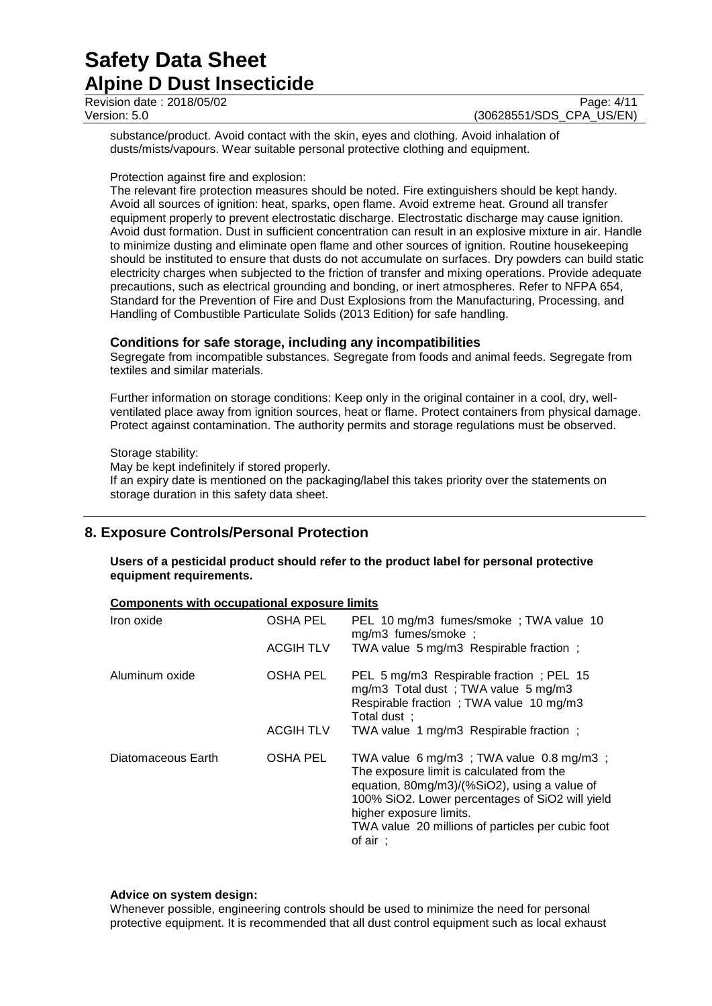| Revision date: 2018/05/02 | Page: 4/11               |
|---------------------------|--------------------------|
| Version: 5.0              | (30628551/SDS CPA US/EN) |

substance/product. Avoid contact with the skin, eyes and clothing. Avoid inhalation of dusts/mists/vapours. Wear suitable personal protective clothing and equipment.

## Protection against fire and explosion:

The relevant fire protection measures should be noted. Fire extinguishers should be kept handy. Avoid all sources of ignition: heat, sparks, open flame. Avoid extreme heat. Ground all transfer equipment properly to prevent electrostatic discharge. Electrostatic discharge may cause ignition. Avoid dust formation. Dust in sufficient concentration can result in an explosive mixture in air. Handle to minimize dusting and eliminate open flame and other sources of ignition. Routine housekeeping should be instituted to ensure that dusts do not accumulate on surfaces. Dry powders can build static electricity charges when subjected to the friction of transfer and mixing operations. Provide adequate precautions, such as electrical grounding and bonding, or inert atmospheres. Refer to NFPA 654, Standard for the Prevention of Fire and Dust Explosions from the Manufacturing, Processing, and Handling of Combustible Particulate Solids (2013 Edition) for safe handling.

## **Conditions for safe storage, including any incompatibilities**

Segregate from incompatible substances. Segregate from foods and animal feeds. Segregate from textiles and similar materials.

Further information on storage conditions: Keep only in the original container in a cool, dry, wellventilated place away from ignition sources, heat or flame. Protect containers from physical damage. Protect against contamination. The authority permits and storage regulations must be observed.

## Storage stability:

May be kept indefinitely if stored properly. If an expiry date is mentioned on the packaging/label this takes priority over the statements on storage duration in this safety data sheet.

# **8. Exposure Controls/Personal Protection**

**Components with occupational exposure limits**

**Users of a pesticidal product should refer to the product label for personal protective equipment requirements.**

| Iron oxide         | OSHA PEL         | PEL 10 mg/m3 fumes/smoke; TWA value 10<br>mg/m3 fumes/smoke;                                                                                                                                                                                                                                   |
|--------------------|------------------|------------------------------------------------------------------------------------------------------------------------------------------------------------------------------------------------------------------------------------------------------------------------------------------------|
|                    | <b>ACGIH TLV</b> | TWA value 5 mg/m3 Respirable fraction;                                                                                                                                                                                                                                                         |
| Aluminum oxide     | <b>OSHA PEL</b>  | PEL 5 mg/m3 Respirable fraction; PEL 15<br>mg/m3 Total dust; TWA value 5 mg/m3<br>Respirable fraction; TWA value 10 mg/m3<br>Total dust:                                                                                                                                                       |
|                    | <b>ACGIH TLV</b> | TWA value 1 mg/m3 Respirable fraction;                                                                                                                                                                                                                                                         |
| Diatomaceous Earth | <b>OSHA PEL</b>  | TWA value 6 mg/m3; TWA value 0.8 mg/m3;<br>The exposure limit is calculated from the<br>equation, 80mg/m3)/(%SiO2), using a value of<br>100% SiO2. Lower percentages of SiO2 will yield<br>higher exposure limits.<br>TWA value 20 millions of particles per cubic foot<br>of air $\therefore$ |

## **Advice on system design:**

Whenever possible, engineering controls should be used to minimize the need for personal protective equipment. It is recommended that all dust control equipment such as local exhaust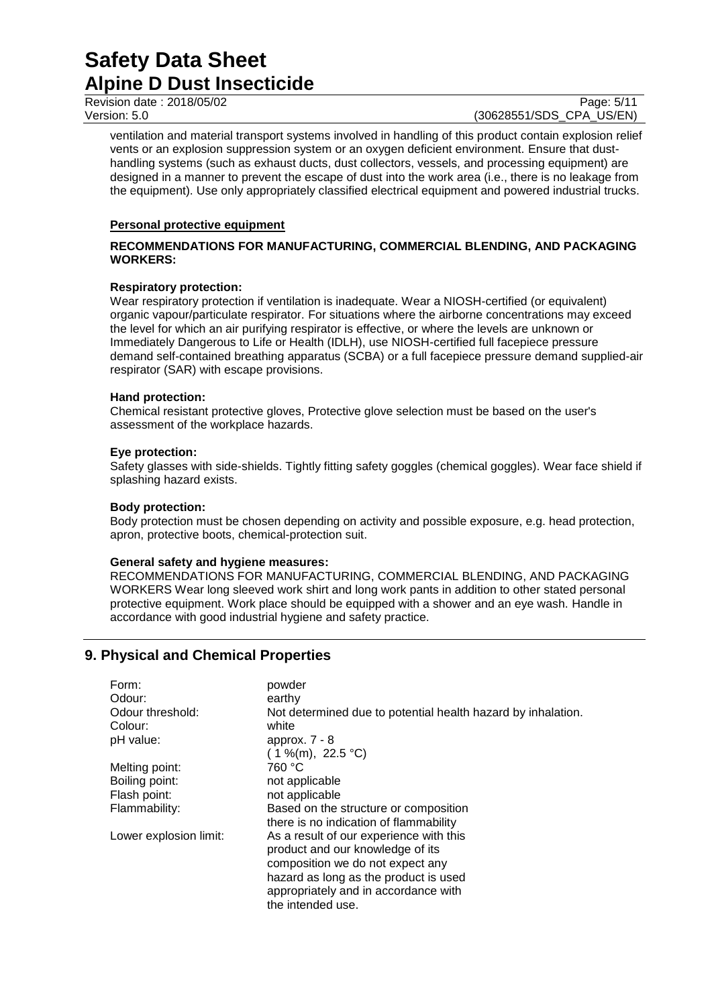Revision date : 2018/05/02 Page: 5/11

Version: 5.0 (30628551/SDS\_CPA\_US/EN)

ventilation and material transport systems involved in handling of this product contain explosion relief vents or an explosion suppression system or an oxygen deficient environment. Ensure that dusthandling systems (such as exhaust ducts, dust collectors, vessels, and processing equipment) are designed in a manner to prevent the escape of dust into the work area (i.e., there is no leakage from the equipment). Use only appropriately classified electrical equipment and powered industrial trucks.

## **Personal protective equipment**

## **RECOMMENDATIONS FOR MANUFACTURING, COMMERCIAL BLENDING, AND PACKAGING WORKERS:**

## **Respiratory protection:**

Wear respiratory protection if ventilation is inadequate. Wear a NIOSH-certified (or equivalent) organic vapour/particulate respirator. For situations where the airborne concentrations may exceed the level for which an air purifying respirator is effective, or where the levels are unknown or Immediately Dangerous to Life or Health (IDLH), use NIOSH-certified full facepiece pressure demand self-contained breathing apparatus (SCBA) or a full facepiece pressure demand supplied-air respirator (SAR) with escape provisions.

## **Hand protection:**

Chemical resistant protective gloves, Protective glove selection must be based on the user's assessment of the workplace hazards.

## **Eye protection:**

Safety glasses with side-shields. Tightly fitting safety goggles (chemical goggles). Wear face shield if splashing hazard exists.

## **Body protection:**

Body protection must be chosen depending on activity and possible exposure, e.g. head protection, apron, protective boots, chemical-protection suit.

## **General safety and hygiene measures:**

RECOMMENDATIONS FOR MANUFACTURING, COMMERCIAL BLENDING, AND PACKAGING WORKERS Wear long sleeved work shirt and long work pants in addition to other stated personal protective equipment. Work place should be equipped with a shower and an eye wash. Handle in accordance with good industrial hygiene and safety practice.

# **9. Physical and Chemical Properties**

| Form:                  | powder                                                       |
|------------------------|--------------------------------------------------------------|
| Odour:                 | earthy                                                       |
| Odour threshold:       | Not determined due to potential health hazard by inhalation. |
| Colour:                | white                                                        |
| pH value:              | approx. $7 - 8$                                              |
|                        | $(1\%$ (m), 22.5 °C)                                         |
| Melting point:         | 760 °C                                                       |
| Boiling point:         | not applicable                                               |
| Flash point:           | not applicable                                               |
| Flammability:          | Based on the structure or composition                        |
|                        | there is no indication of flammability                       |
| Lower explosion limit: | As a result of our experience with this                      |
|                        | product and our knowledge of its                             |
|                        | composition we do not expect any                             |
|                        | hazard as long as the product is used                        |
|                        | appropriately and in accordance with                         |
|                        | the intended use.                                            |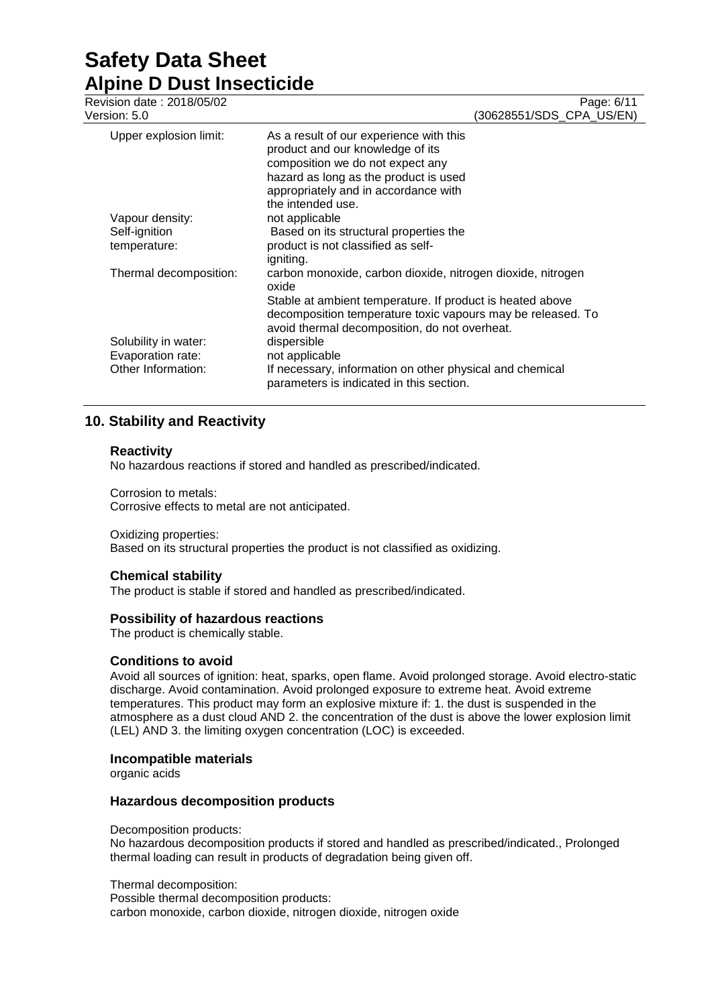| Revision date: 2018/05/02<br>Version: 5.0 | Page: 6/11<br>(30628551/SDS_CPA_US/EN)                                                                                                                                                                                |
|-------------------------------------------|-----------------------------------------------------------------------------------------------------------------------------------------------------------------------------------------------------------------------|
| Upper explosion limit:                    | As a result of our experience with this<br>product and our knowledge of its<br>composition we do not expect any<br>hazard as long as the product is used<br>appropriately and in accordance with<br>the intended use. |
| Vapour density:                           | not applicable                                                                                                                                                                                                        |
| Self-ignition                             | Based on its structural properties the                                                                                                                                                                                |
| temperature:                              | product is not classified as self-<br>igniting.                                                                                                                                                                       |
| Thermal decomposition:                    | carbon monoxide, carbon dioxide, nitrogen dioxide, nitrogen<br>oxide                                                                                                                                                  |
|                                           | Stable at ambient temperature. If product is heated above                                                                                                                                                             |
|                                           | decomposition temperature toxic vapours may be released. To<br>avoid thermal decomposition, do not overheat.                                                                                                          |
| Solubility in water:                      | dispersible                                                                                                                                                                                                           |
| Evaporation rate:                         | not applicable                                                                                                                                                                                                        |
| Other Information:                        | If necessary, information on other physical and chemical<br>parameters is indicated in this section.                                                                                                                  |

# **10. Stability and Reactivity**

## **Reactivity**

No hazardous reactions if stored and handled as prescribed/indicated.

Corrosion to metals: Corrosive effects to metal are not anticipated.

## Oxidizing properties:

Based on its structural properties the product is not classified as oxidizing.

## **Chemical stability**

The product is stable if stored and handled as prescribed/indicated.

## **Possibility of hazardous reactions**

The product is chemically stable.

## **Conditions to avoid**

Avoid all sources of ignition: heat, sparks, open flame. Avoid prolonged storage. Avoid electro-static discharge. Avoid contamination. Avoid prolonged exposure to extreme heat. Avoid extreme temperatures. This product may form an explosive mixture if: 1. the dust is suspended in the atmosphere as a dust cloud AND 2. the concentration of the dust is above the lower explosion limit (LEL) AND 3. the limiting oxygen concentration (LOC) is exceeded.

## **Incompatible materials**

organic acids

## **Hazardous decomposition products**

Decomposition products:

No hazardous decomposition products if stored and handled as prescribed/indicated., Prolonged thermal loading can result in products of degradation being given off.

Thermal decomposition:

Possible thermal decomposition products: carbon monoxide, carbon dioxide, nitrogen dioxide, nitrogen oxide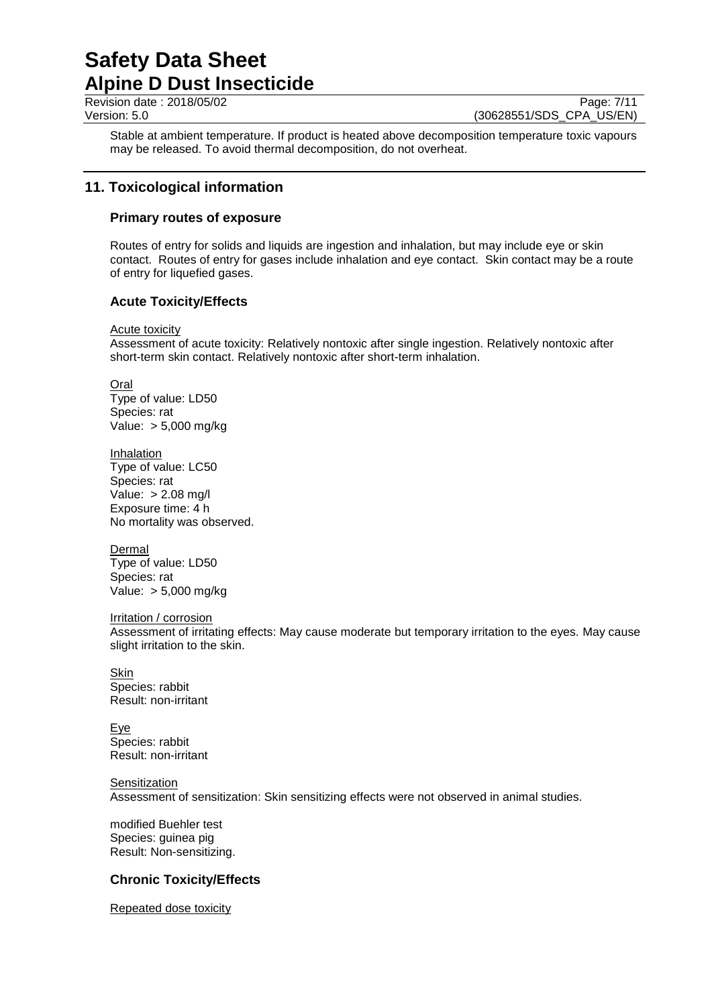Revision date : 2018/05/02 Page: 7/11

Version: 5.0 (30628551/SDS\_CPA\_US/EN)

Stable at ambient temperature. If product is heated above decomposition temperature toxic vapours may be released. To avoid thermal decomposition, do not overheat.

# **11. Toxicological information**

## **Primary routes of exposure**

Routes of entry for solids and liquids are ingestion and inhalation, but may include eye or skin contact. Routes of entry for gases include inhalation and eye contact. Skin contact may be a route of entry for liquefied gases.

# **Acute Toxicity/Effects**

#### **Acute toxicity**

Assessment of acute toxicity: Relatively nontoxic after single ingestion. Relatively nontoxic after short-term skin contact. Relatively nontoxic after short-term inhalation.

**Oral** Type of value: LD50 Species: rat

Value: > 5,000 mg/kg

Inhalation Type of value: LC50 Species: rat Value: > 2.08 mg/l Exposure time: 4 h No mortality was observed.

**Dermal** Type of value: LD50 Species: rat Value: > 5,000 mg/kg

Irritation / corrosion

Assessment of irritating effects: May cause moderate but temporary irritation to the eyes. May cause slight irritation to the skin.

**Skin** Species: rabbit Result: non-irritant

Eye Species: rabbit Result: non-irritant

**Sensitization** Assessment of sensitization: Skin sensitizing effects were not observed in animal studies.

modified Buehler test Species: guinea pig Result: Non-sensitizing.

## **Chronic Toxicity/Effects**

Repeated dose toxicity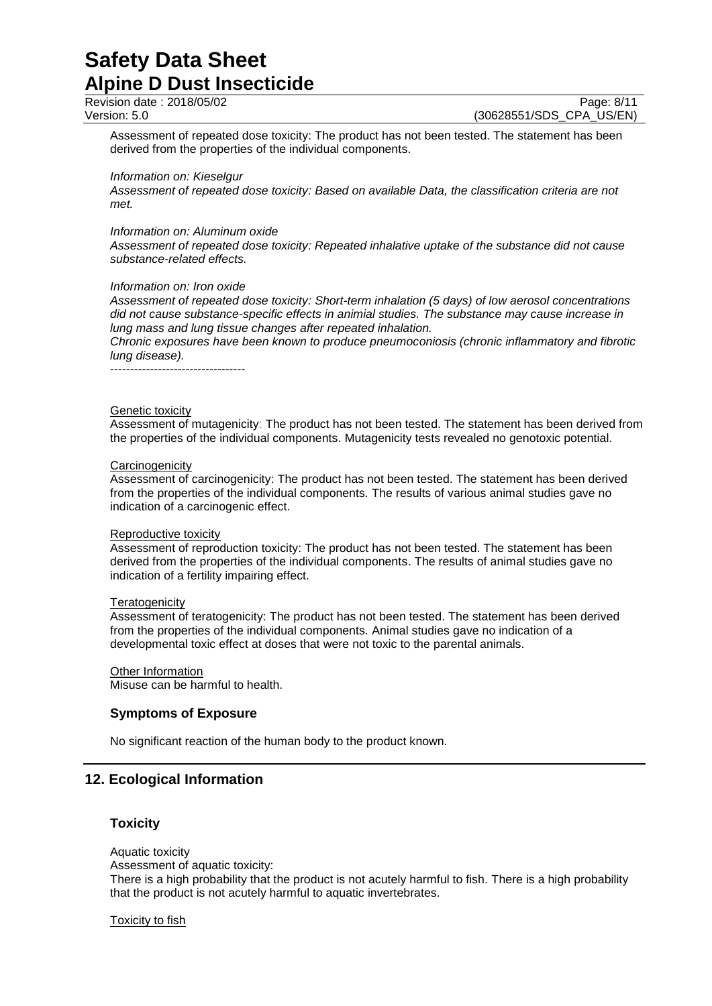Revision date : 2018/05/02 Page: 8/11

Version: 5.0 (30628551/SDS\_CPA\_US/EN)

Assessment of repeated dose toxicity: The product has not been tested. The statement has been derived from the properties of the individual components.

#### *Information on: Kieselgur*

*Assessment of repeated dose toxicity: Based on available Data, the classification criteria are not met.*

#### *Information on: Aluminum oxide*

*Assessment of repeated dose toxicity: Repeated inhalative uptake of the substance did not cause substance-related effects.*

#### *Information on: Iron oxide*

*Assessment of repeated dose toxicity: Short-term inhalation (5 days) of low aerosol concentrations did not cause substance-specific effects in animial studies. The substance may cause increase in lung mass and lung tissue changes after repeated inhalation.*

*Chronic exposures have been known to produce pneumoconiosis (chronic inflammatory and fibrotic lung disease).*

----------------------------------

#### Genetic toxicity

Assessment of mutagenicity: The product has not been tested. The statement has been derived from the properties of the individual components. Mutagenicity tests revealed no genotoxic potential.

#### **Carcinogenicity**

Assessment of carcinogenicity: The product has not been tested. The statement has been derived from the properties of the individual components. The results of various animal studies gave no indication of a carcinogenic effect.

#### Reproductive toxicity

Assessment of reproduction toxicity: The product has not been tested. The statement has been derived from the properties of the individual components. The results of animal studies gave no indication of a fertility impairing effect.

#### **Teratogenicity**

Assessment of teratogenicity: The product has not been tested. The statement has been derived from the properties of the individual components. Animal studies gave no indication of a developmental toxic effect at doses that were not toxic to the parental animals.

## Other Information

Misuse can be harmful to health.

## **Symptoms of Exposure**

No significant reaction of the human body to the product known.

## **12. Ecological Information**

## **Toxicity**

Aquatic toxicity Assessment of aquatic toxicity: There is a high probability that the product is not acutely harmful to fish. There is a high probability that the product is not acutely harmful to aquatic invertebrates.

Toxicity to fish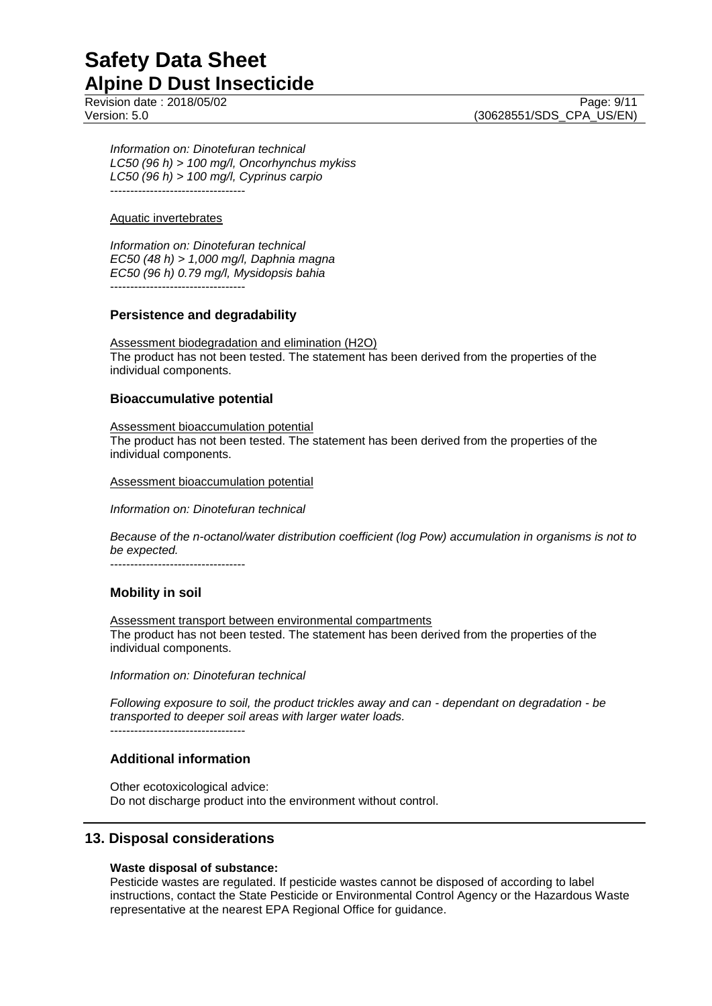Page: 9/11

Version: 5.0 (30628551/SDS\_CPA\_US/EN)

*Information on: Dinotefuran technical LC50 (96 h) > 100 mg/l, Oncorhynchus mykiss LC50 (96 h) > 100 mg/l, Cyprinus carpio* ----------------------------------

## Aquatic invertebrates

*Information on: Dinotefuran technical EC50 (48 h) > 1,000 mg/l, Daphnia magna EC50 (96 h) 0.79 mg/l, Mysidopsis bahia* ----------------------------------

**Persistence and degradability**

Assessment biodegradation and elimination (H2O) The product has not been tested. The statement has been derived from the properties of the individual components.

## **Bioaccumulative potential**

Assessment bioaccumulation potential The product has not been tested. The statement has been derived from the properties of the individual components.

Assessment bioaccumulation potential

*Information on: Dinotefuran technical*

*Because of the n-octanol/water distribution coefficient (log Pow) accumulation in organisms is not to be expected.*

----------------------------------

## **Mobility in soil**

Assessment transport between environmental compartments The product has not been tested. The statement has been derived from the properties of the individual components.

*Information on: Dinotefuran technical*

*Following exposure to soil, the product trickles away and can - dependant on degradation - be transported to deeper soil areas with larger water loads.*  $-$ 

## **Additional information**

Other ecotoxicological advice: Do not discharge product into the environment without control.

## **13. Disposal considerations**

## **Waste disposal of substance:**

Pesticide wastes are regulated. If pesticide wastes cannot be disposed of according to label instructions, contact the State Pesticide or Environmental Control Agency or the Hazardous Waste representative at the nearest EPA Regional Office for guidance.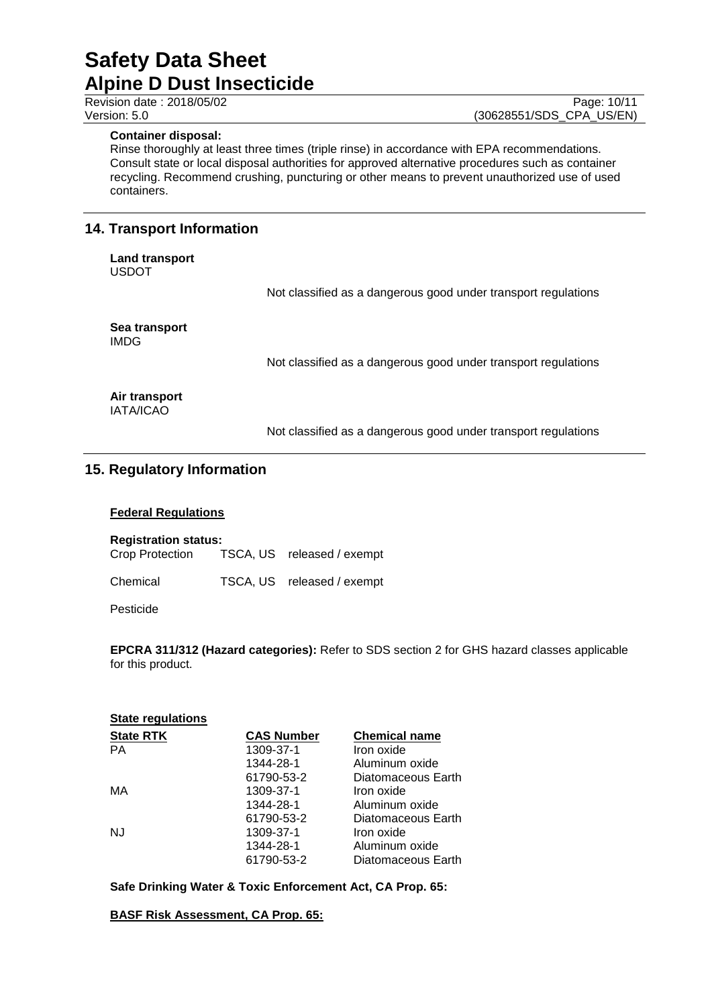## **Container disposal:**

Rinse thoroughly at least three times (triple rinse) in accordance with EPA recommendations. Consult state or local disposal authorities for approved alternative procedures such as container recycling. Recommend crushing, puncturing or other means to prevent unauthorized use of used containers.

# **14. Transport Information**

**Land transport** USDOT

Not classified as a dangerous good under transport regulations

**Sea transport** IMDG

Not classified as a dangerous good under transport regulations

**Air transport** IATA/ICAO

Not classified as a dangerous good under transport regulations

# **15. Regulatory Information**

## **Federal Regulations**

**Registration status:**

Crop Protection TSCA, US released / exempt

Chemical TSCA, US released / exempt

Pesticide

**EPCRA 311/312 (Hazard categories):** Refer to SDS section 2 for GHS hazard classes applicable for this product.

| <b>CAS Number</b> | <b>Chemical name</b> |
|-------------------|----------------------|
| 1309-37-1         | Iron oxide           |
| 1344-28-1         | Aluminum oxide       |
| 61790-53-2        | Diatomaceous Earth   |
| 1309-37-1         | Iron oxide           |
| 1344-28-1         | Aluminum oxide       |
| 61790-53-2        | Diatomaceous Earth   |
| 1309-37-1         | Iron oxide           |
| 1344-28-1         | Aluminum oxide       |
| 61790-53-2        | Diatomaceous Earth   |
|                   |                      |

**Safe Drinking Water & Toxic Enforcement Act, CA Prop. 65:**

**BASF Risk Assessment, CA Prop. 65:**

Revision date : 2018/05/02 Page: 10/11<br>Version: 5.0 (30628551/SDS\_CPA\_US/EN) (30628551/SDS\_CPA\_US/EN)